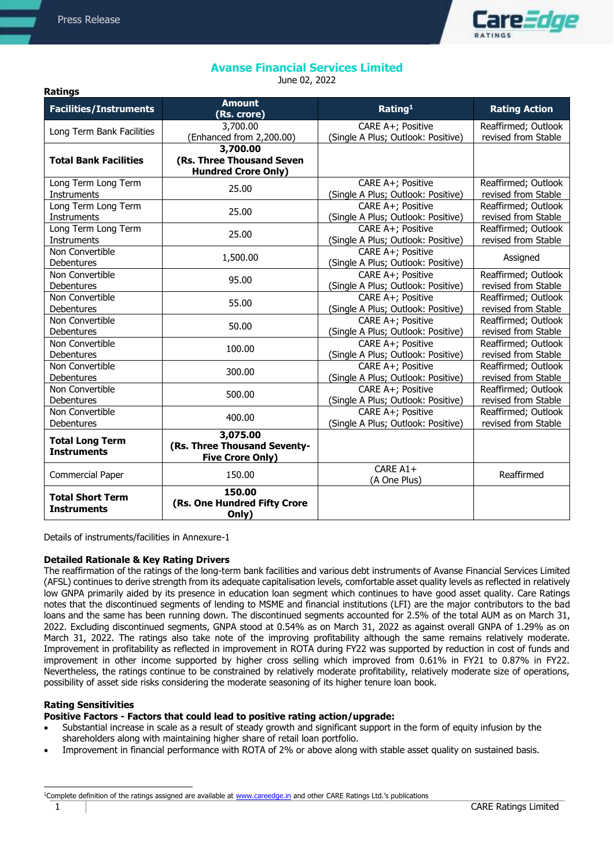**Ratings**



# **Avanse Financial Services Limited**

June 02, 2022

| <b>Facilities/Instruments</b>                 | <b>Amount</b><br>(Rs. crore)                                        | Rating <sup>1</sup>                                     | <b>Rating Action</b> |
|-----------------------------------------------|---------------------------------------------------------------------|---------------------------------------------------------|----------------------|
| Long Term Bank Facilities                     | 3,700.00                                                            | CARE A+; Positive                                       | Reaffirmed; Outlook  |
|                                               | (Enhanced from 2,200.00)                                            | (Single A Plus; Outlook: Positive)                      | revised from Stable  |
| <b>Total Bank Facilities</b>                  | 3,700.00<br>(Rs. Three Thousand Seven<br><b>Hundred Crore Only)</b> |                                                         |                      |
| Long Term Long Term                           | 25.00                                                               | CARE A+; Positive                                       | Reaffirmed; Outlook  |
| Instruments                                   |                                                                     | (Single A Plus; Outlook: Positive)                      | revised from Stable  |
| Long Term Long Term                           | 25.00                                                               | CARE A+; Positive                                       | Reaffirmed; Outlook  |
| Instruments                                   |                                                                     | (Single A Plus; Outlook: Positive)                      | revised from Stable  |
| Long Term Long Term                           | 25.00                                                               | CARE A+; Positive                                       | Reaffirmed; Outlook  |
| Instruments                                   |                                                                     | (Single A Plus; Outlook: Positive)                      | revised from Stable  |
| Non Convertible<br>Debentures                 | 1,500.00                                                            | CARE A+; Positive<br>(Single A Plus; Outlook: Positive) | Assigned             |
| Non Convertible                               | 95.00                                                               | CARE A+; Positive                                       | Reaffirmed; Outlook  |
| Debentures                                    |                                                                     | (Single A Plus; Outlook: Positive)                      | revised from Stable  |
| Non Convertible                               | 55.00                                                               | CARE A+; Positive                                       | Reaffirmed; Outlook  |
| Debentures                                    |                                                                     | (Single A Plus; Outlook: Positive)                      | revised from Stable  |
| Non Convertible                               | 50.00                                                               | CARE A+; Positive                                       | Reaffirmed; Outlook  |
| Debentures                                    |                                                                     | (Single A Plus; Outlook: Positive)                      | revised from Stable  |
| Non Convertible                               | 100.00                                                              | CARE A+; Positive                                       | Reaffirmed; Outlook  |
| Debentures                                    |                                                                     | (Single A Plus; Outlook: Positive)                      | revised from Stable  |
| Non Convertible                               | 300.00                                                              | CARE A+; Positive                                       | Reaffirmed; Outlook  |
| Debentures                                    |                                                                     | (Single A Plus; Outlook: Positive)                      | revised from Stable  |
| Non Convertible                               | 500.00                                                              | CARE A+; Positive                                       | Reaffirmed; Outlook  |
| Debentures                                    |                                                                     | (Single A Plus; Outlook: Positive)                      | revised from Stable  |
| Non Convertible                               | 400.00                                                              | CARE A+; Positive                                       | Reaffirmed; Outlook  |
| Debentures                                    |                                                                     | (Single A Plus; Outlook: Positive)                      | revised from Stable  |
| <b>Total Long Term</b><br><b>Instruments</b>  | 3,075.00<br>(Rs. Three Thousand Seventy-<br><b>Five Crore Only)</b> |                                                         |                      |
| Commercial Paper                              | 150.00                                                              | CARE A1+<br>(A One Plus)                                | Reaffirmed           |
| <b>Total Short Term</b><br><b>Instruments</b> | 150.00<br>(Rs. One Hundred Fifty Crore<br>Only)                     |                                                         |                      |

Details of instruments/facilities in Annexure-1

# **Detailed Rationale & Key Rating Drivers**

The reaffirmation of the ratings of the long-term bank facilities and various debt instruments of Avanse Financial Services Limited (AFSL) continues to derive strength from its adequate capitalisation levels, comfortable asset quality levels as reflected in relatively low GNPA primarily aided by its presence in education loan segment which continues to have good asset quality. Care Ratings notes that the discontinued segments of lending to MSME and financial institutions (LFI) are the major contributors to the bad loans and the same has been running down. The discontinued segments accounted for 2.5% of the total AUM as on March 31, 2022. Excluding discontinued segments, GNPA stood at 0.54% as on March 31, 2022 as against overall GNPA of 1.29% as on March 31, 2022. The ratings also take note of the improving profitability although the same remains relatively moderate. Improvement in profitability as reflected in improvement in ROTA during FY22 was supported by reduction in cost of funds and improvement in other income supported by higher cross selling which improved from 0.61% in FY21 to 0.87% in FY22. Nevertheless, the ratings continue to be constrained by relatively moderate profitability, relatively moderate size of operations, possibility of asset side risks considering the moderate seasoning of its higher tenure loan book.

# **Rating Sensitivities**

j

# **Positive Factors - Factors that could lead to positive rating action/upgrade:**

- Substantial increase in scale as a result of steady growth and significant support in the form of equity infusion by the shareholders along with maintaining higher share of retail loan portfolio.
- Improvement in financial performance with ROTA of 2% or above along with stable asset quality on sustained basis.

1 CARE Ratings Limited <sup>1</sup>Complete definition of the ratings assigned are available at [www.careedge.in](http://www.careedge.in/) and other CARE Ratings Ltd.'s publications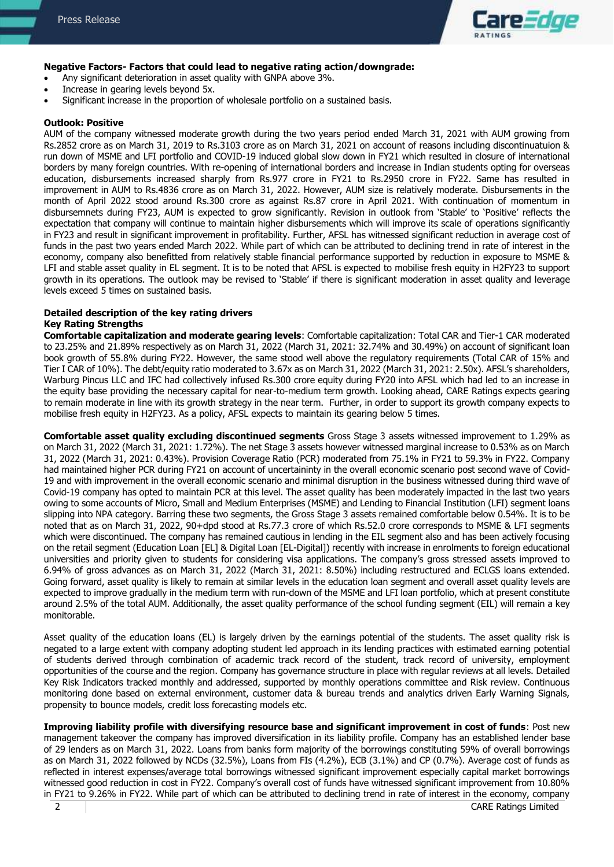

#### **Negative Factors- Factors that could lead to negative rating action/downgrade:**

- Any significant deterioration in asset quality with GNPA above 3%.
- Increase in gearing levels beyond 5x.
- Significant increase in the proportion of wholesale portfolio on a sustained basis.

#### **Outlook: Positive**

AUM of the company witnessed moderate growth during the two years period ended March 31, 2021 with AUM growing from Rs.2852 crore as on March 31, 2019 to Rs.3103 crore as on March 31, 2021 on account of reasons including discontinuatuion & run down of MSME and LFI portfolio and COVID-19 induced global slow down in FY21 which resulted in closure of international borders by many foreign countries. With re-opening of international borders and increase in Indian students opting for overseas education, disbursements increased sharply from Rs.977 crore in FY21 to Rs.2950 crore in FY22. Same has resulted in improvement in AUM to Rs.4836 crore as on March 31, 2022. However, AUM size is relatively moderate. Disbursements in the month of April 2022 stood around Rs.300 crore as against Rs.87 crore in April 2021. With continuation of momentum in disbursemnets during FY23, AUM is expected to grow significantly. Revision in outlook from 'Stable' to 'Positive' reflects the expectation that company will continue to maintain higher disbursements which will improve its scale of operations significantly in FY23 and result in significant improvement in profitability. Further, AFSL has witnessed significant reduction in average cost of funds in the past two years ended March 2022. While part of which can be attributed to declining trend in rate of interest in the economy, company also benefitted from relatively stable financial performance supported by reduction in exposure to MSME & LFI and stable asset quality in EL segment. It is to be noted that AFSL is expected to mobilise fresh equity in H2FY23 to support growth in its operations. The outlook may be revised to 'Stable' if there is significant moderation in asset quality and leverage levels exceed 5 times on sustained basis.

#### **Detailed description of the key rating drivers Key Rating Strengths**

**Comfortable capitalization and moderate gearing levels**: Comfortable capitalization: Total CAR and Tier-1 CAR moderated to 23.25% and 21.89% respectively as on March 31, 2022 (March 31, 2021: 32.74% and 30.49%) on account of significant loan book growth of 55.8% during FY22. However, the same stood well above the regulatory requirements (Total CAR of 15% and Tier I CAR of 10%). The debt/equity ratio moderated to 3.67x as on March 31, 2022 (March 31, 2021: 2.50x). AFSL's shareholders, Warburg Pincus LLC and IFC had collectively infused Rs.300 crore equity during FY20 into AFSL which had led to an increase in the equity base providing the necessary capital for near-to-medium term growth. Looking ahead, CARE Ratings expects gearing to remain moderate in line with its growth strategy in the near term. Further, in order to support its growth company expects to mobilise fresh equity in H2FY23. As a policy, AFSL expects to maintain its gearing below 5 times.

**Comfortable asset quality excluding discontinued segments** Gross Stage 3 assets witnessed improvement to 1.29% as on March 31, 2022 (March 31, 2021: 1.72%). The net Stage 3 assets however witnessed marginal increase to 0.53% as on March 31, 2022 (March 31, 2021: 0.43%). Provision Coverage Ratio (PCR) moderated from 75.1% in FY21 to 59.3% in FY22. Company had maintained higher PCR during FY21 on account of uncertaininty in the overall economic scenario post second wave of Covid-19 and with improvement in the overall economic scenario and minimal disruption in the business witnessed during third wave of Covid-19 company has opted to maintain PCR at this level. The asset quality has been moderately impacted in the last two years owing to some accounts of Micro, Small and Medium Enterprises (MSME) and Lending to Financial Institution (LFI) segment loans slipping into NPA category. Barring these two segments, the Gross Stage 3 assets remained comfortable below 0.54%. It is to be noted that as on March 31, 2022, 90+dpd stood at Rs.77.3 crore of which Rs.52.0 crore corresponds to MSME & LFI segments which were discontinued. The company has remained cautious in lending in the EIL segment also and has been actively focusing on the retail segment (Education Loan [EL] & Digital Loan [EL-Digital]) recently with increase in enrolments to foreign educational universities and priority given to students for considering visa applications. The company's gross stressed assets improved to 6.94% of gross advances as on March 31, 2022 (March 31, 2021: 8.50%) including restructured and ECLGS loans extended. Going forward, asset quality is likely to remain at similar levels in the education loan segment and overall asset quality levels are expected to improve gradually in the medium term with run-down of the MSME and LFI loan portfolio, which at present constitute around 2.5% of the total AUM. Additionally, the asset quality performance of the school funding segment (EIL) will remain a key monitorable.

Asset quality of the education loans (EL) is largely driven by the earnings potential of the students. The asset quality risk is negated to a large extent with company adopting student led approach in its lending practices with estimated earning potential of students derived through combination of academic track record of the student, track record of university, employment opportunities of the course and the region. Company has governance structure in place with regular reviews at all levels. Detailed Key Risk Indicators tracked monthly and addressed, supported by monthly operations committee and Risk review. Continuous monitoring done based on external environment, customer data & bureau trends and analytics driven Early Warning Signals, propensity to bounce models, credit loss forecasting models etc.

**Improving liability profile with diversifying resource base and significant improvement in cost of funds**: Post new management takeover the company has improved diversification in its liability profile. Company has an established lender base of 29 lenders as on March 31, 2022. Loans from banks form majority of the borrowings constituting 59% of overall borrowings as on March 31, 2022 followed by NCDs (32.5%), Loans from FIs (4.2%), ECB (3.1%) and CP (0.7%). Average cost of funds as reflected in interest expenses/average total borrowings witnessed significant improvement especially capital market borrowings witnessed good reduction in cost in FY22. Company's overall cost of funds have witnessed significant improvement from 10.80% in FY21 to 9.26% in FY22. While part of which can be attributed to declining trend in rate of interest in the economy, company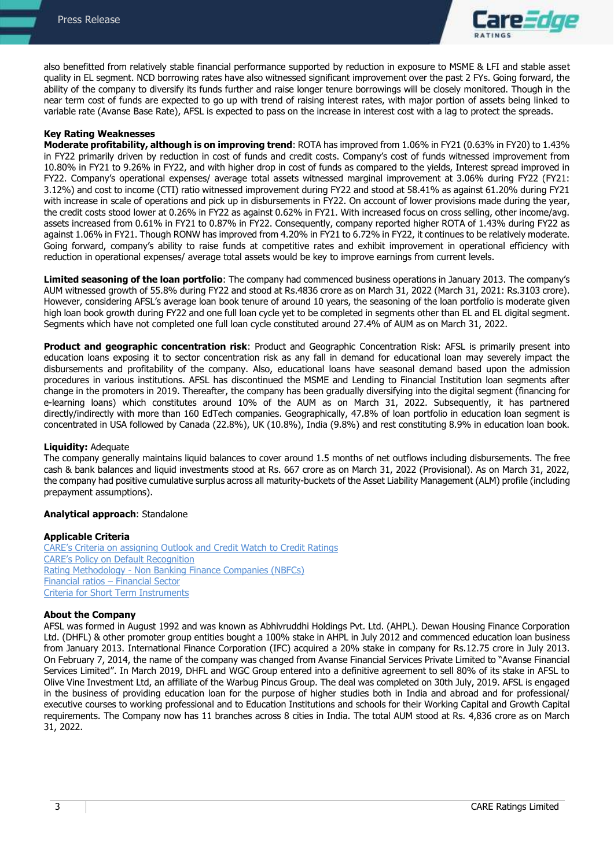

also benefitted from relatively stable financial performance supported by reduction in exposure to MSME & LFI and stable asset quality in EL segment. NCD borrowing rates have also witnessed significant improvement over the past 2 FYs. Going forward, the ability of the company to diversify its funds further and raise longer tenure borrowings will be closely monitored. Though in the near term cost of funds are expected to go up with trend of raising interest rates, with major portion of assets being linked to variable rate (Avanse Base Rate), AFSL is expected to pass on the increase in interest cost with a lag to protect the spreads.

### **Key Rating Weaknesses**

**Moderate profitability, although is on improving trend**: ROTA has improved from 1.06% in FY21 (0.63% in FY20) to 1.43% in FY22 primarily driven by reduction in cost of funds and credit costs. Company's cost of funds witnessed improvement from 10.80% in FY21 to 9.26% in FY22, and with higher drop in cost of funds as compared to the yields, Interest spread improved in FY22. Company's operational expenses/ average total assets witnessed marginal improvement at 3.06% during FY22 (FY21: 3.12%) and cost to income (CTI) ratio witnessed improvement during FY22 and stood at 58.41% as against 61.20% during FY21 with increase in scale of operations and pick up in disbursements in FY22. On account of lower provisions made during the year, the credit costs stood lower at 0.26% in FY22 as against 0.62% in FY21. With increased focus on cross selling, other income/avg. assets increased from 0.61% in FY21 to 0.87% in FY22. Consequently, company reported higher ROTA of 1.43% during FY22 as against 1.06% in FY21. Though RONW has improved from 4.20% in FY21 to 6.72% in FY22, it continues to be relatively moderate. Going forward, company's ability to raise funds at competitive rates and exhibit improvement in operational efficiency with reduction in operational expenses/ average total assets would be key to improve earnings from current levels.

**Limited seasoning of the loan portfolio**: The company had commenced business operations in January 2013. The company's AUM witnessed growth of 55.8% during FY22 and stood at Rs.4836 crore as on March 31, 2022 (March 31, 2021: Rs.3103 crore). However, considering AFSL's average loan book tenure of around 10 years, the seasoning of the loan portfolio is moderate given high loan book growth during FY22 and one full loan cycle yet to be completed in segments other than EL and EL digital segment. Segments which have not completed one full loan cycle constituted around 27.4% of AUM as on March 31, 2022.

**Product and geographic concentration risk**: Product and Geographic Concentration Risk: AFSL is primarily present into education loans exposing it to sector concentration risk as any fall in demand for educational loan may severely impact the disbursements and profitability of the company. Also, educational loans have seasonal demand based upon the admission procedures in various institutions. AFSL has discontinued the MSME and Lending to Financial Institution loan segments after change in the promoters in 2019. Thereafter, the company has been gradually diversifying into the digital segment (financing for e-learning loans) which constitutes around 10% of the AUM as on March 31, 2022. Subsequently, it has partnered directly/indirectly with more than 160 EdTech companies. Geographically, 47.8% of loan portfolio in education loan segment is concentrated in USA followed by Canada (22.8%), UK (10.8%), India (9.8%) and rest constituting 8.9% in education loan book.

### **Liquidity:** Adequate

The company generally maintains liquid balances to cover around 1.5 months of net outflows including disbursements. The free cash & bank balances and liquid investments stood at Rs. 667 crore as on March 31, 2022 (Provisional). As on March 31, 2022, the company had positive cumulative surplus across all maturity-buckets of the Asset Liability Management (ALM) profile (including prepayment assumptions).

#### **Analytical approach**: Standalone

#### **Applicable Criteria**

[CARE's Criteria on assigning Outlook and](https://www.careratings.com/upload/NewsFiles/GetRated/Rating%20Outlook%20and%20credit%20watch_May2020.pdf) Credit Watch to Credit Ratings [CARE's Policy on Default Recognition](https://www.careratings.com/pdf/resources/CARE) Rating Methodology - [Non Banking Finance Companies \(NBFCs\)](https://www.careratings.com/upload/NewsFiles/GetRated/Rating%20Methodology-NBFC_October2020.pdf) Financial ratios – [Financial Sector](https://www.careratings.com/pdf/resources/Financial%20Ratios%20_Financial%20Sector_September2020.pdf)  [Criteria for Short Term Instruments](https://www.careratings.com/upload/NewsFiles/GetRated/Short%20Term%20Instruments%20_February2021.pdf)

#### **About the Company**

AFSL was formed in August 1992 and was known as Abhivruddhi Holdings Pvt. Ltd. (AHPL). Dewan Housing Finance Corporation Ltd. (DHFL) & other promoter group entities bought a 100% stake in AHPL in July 2012 and commenced education loan business from January 2013. International Finance Corporation (IFC) acquired a 20% stake in company for Rs.12.75 crore in July 2013. On February 7, 2014, the name of the company was changed from Avanse Financial Services Private Limited to "Avanse Financial Services Limited". In March 2019, DHFL and WGC Group entered into a definitive agreement to sell 80% of its stake in AFSL to Olive Vine Investment Ltd, an affiliate of the Warbug Pincus Group. The deal was completed on 30th July, 2019. AFSL is engaged in the business of providing education loan for the purpose of higher studies both in India and abroad and for professional/ executive courses to working professional and to Education Institutions and schools for their Working Capital and Growth Capital requirements. The Company now has 11 branches across 8 cities in India. The total AUM stood at Rs. 4,836 crore as on March 31, 2022.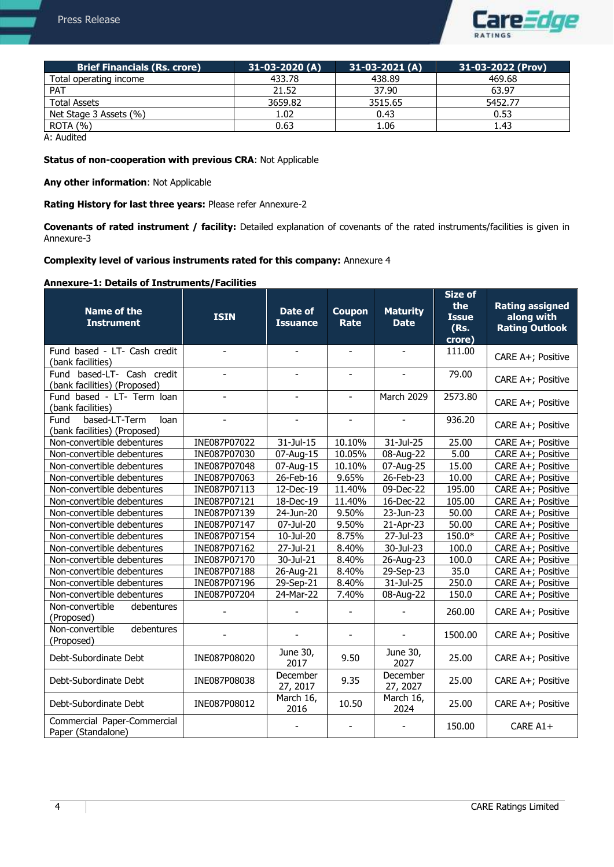

| <b>Brief Financials (Rs. crore)</b> | $31-03-2020(A)$ | $31-03-2021(A)$ | 31-03-2022 (Prov) |
|-------------------------------------|-----------------|-----------------|-------------------|
| Total operating income              | 433.78          | 438.89          | 469.68            |
| <b>PAT</b>                          | 21.52           | 37.90           | 63.97             |
| <b>Total Assets</b>                 | 3659.82         | 3515.65         | 5452.77           |
| Net Stage 3 Assets (%)              | 1.02            | 0.43            | 0.53              |
| <b>ROTA (%)</b>                     | 0.63            | 1.06            | 1.43              |

A: Audited

# **Status of non-cooperation with previous CRA**: Not Applicable

**Any other information**: Not Applicable

**Rating History for last three years:** Please refer Annexure-2

**Covenants of rated instrument / facility:** Detailed explanation of covenants of the rated instruments/facilities is given in Annexure-3

### **Complexity level of various instruments rated for this company:** Annexure 4

# **Annexure-1: Details of Instruments/Facilities**

| <b>Name of the</b><br><b>Instrument</b>                       | <b>ISIN</b>    | <b>Date of</b><br><b>Issuance</b> | <b>Coupon</b><br><b>Rate</b> | <b>Maturity</b><br><b>Date</b> | <b>Size of</b><br>the<br><b>Issue</b><br>(Rs.<br>crore) | <b>Rating assigned</b><br>along with<br><b>Rating Outlook</b> |
|---------------------------------------------------------------|----------------|-----------------------------------|------------------------------|--------------------------------|---------------------------------------------------------|---------------------------------------------------------------|
| Fund based - LT- Cash credit<br>(bank facilities)             |                |                                   |                              |                                | 111.00                                                  | CARE A+; Positive                                             |
| Fund based-LT- Cash credit<br>(bank facilities) (Proposed)    |                |                                   |                              |                                | 79.00                                                   | CARE A+; Positive                                             |
| Fund based - LT- Term loan<br>(bank facilities)               |                | ä,                                |                              | March 2029                     | 2573.80                                                 | CARE A+; Positive                                             |
| based-LT-Term<br>loan<br>Fund<br>(bank facilities) (Proposed) | $\blacksquare$ | $\overline{\phantom{a}}$          | $\overline{a}$               |                                | 936.20                                                  | CARE A+; Positive                                             |
| Non-convertible debentures                                    | INE087P07022   | 31-Jul-15                         | 10.10%                       | 31-Jul-25                      | 25.00                                                   | CARE A+; Positive                                             |
| Non-convertible debentures                                    | INE087P07030   | 07-Aug-15                         | 10.05%                       | 08-Aug-22                      | 5.00                                                    | CARE A+; Positive                                             |
| Non-convertible debentures                                    | INE087P07048   | 07-Aug-15                         | 10.10%                       | 07-Aug-25                      | 15.00                                                   | CARE A+; Positive                                             |
| Non-convertible debentures                                    | INE087P07063   | 26-Feb-16                         | 9.65%                        | 26-Feb-23                      | 10.00                                                   | CARE A+; Positive                                             |
| Non-convertible debentures                                    | INE087P07113   | 12-Dec-19                         | 11.40%                       | 09-Dec-22                      | 195.00                                                  | CARE A+; Positive                                             |
| Non-convertible debentures                                    | INE087P07121   | 18-Dec-19                         | 11.40%                       | 16-Dec-22                      | 105.00                                                  | CARE A+; Positive                                             |
| Non-convertible debentures                                    | INE087P07139   | 24-Jun-20                         | 9.50%                        | $\overline{23}$ -Jun-23        | 50.00                                                   | CARE A+; Positive                                             |
| Non-convertible debentures                                    | INE087P07147   | 07-Jul-20                         | 9.50%                        | 21-Apr-23                      | 50.00                                                   | CARE A+; Positive                                             |
| Non-convertible debentures                                    | INE087P07154   | 10-Jul-20                         | 8.75%                        | 27-Jul-23                      | 150.0*                                                  | CARE A+; Positive                                             |
| Non-convertible debentures                                    | INE087P07162   | 27-Jul-21                         | 8.40%                        | 30-Jul-23                      | 100.0                                                   | CARE A+; Positive                                             |
| Non-convertible debentures                                    | INE087P07170   | 30-Jul-21                         | 8.40%                        | 26-Aug-23                      | 100.0                                                   | CARE A+; Positive                                             |
| Non-convertible debentures                                    | INE087P07188   | 26-Aug-21                         | 8.40%                        | 29-Sep-23                      | 35.0                                                    | CARE A+; Positive                                             |
| Non-convertible debentures                                    | INE087P07196   | 29-Sep-21                         | 8.40%                        | 31-Jul-25                      | 250.0                                                   | CARE A+; Positive                                             |
| Non-convertible debentures                                    | INE087P07204   | 24-Mar-22                         | 7.40%                        | 08-Aug-22                      | 150.0                                                   | CARE A+; Positive                                             |
| Non-convertible<br>debentures<br>(Proposed)                   |                |                                   |                              |                                | 260.00                                                  | CARE A+; Positive                                             |
| debentures<br>Non-convertible<br>(Proposed)                   |                |                                   |                              |                                | 1500.00                                                 | CARE A+; Positive                                             |
| Debt-Subordinate Debt                                         | INE087P08020   | June 30,<br>2017                  | 9.50                         | June 30,<br>2027               | 25.00                                                   | CARE A+; Positive                                             |
| Debt-Subordinate Debt                                         | INE087P08038   | December<br>27, 2017              | 9.35                         | December<br>27, 2027           | 25.00                                                   | CARE A+; Positive                                             |
| Debt-Subordinate Debt                                         | INE087P08012   | March 16,<br>2016                 | 10.50                        | March 16,<br>2024              | 25.00                                                   | CARE A+; Positive                                             |
| Commercial Paper-Commercial<br>Paper (Standalone)             |                |                                   |                              |                                | 150.00                                                  | CARE A1+                                                      |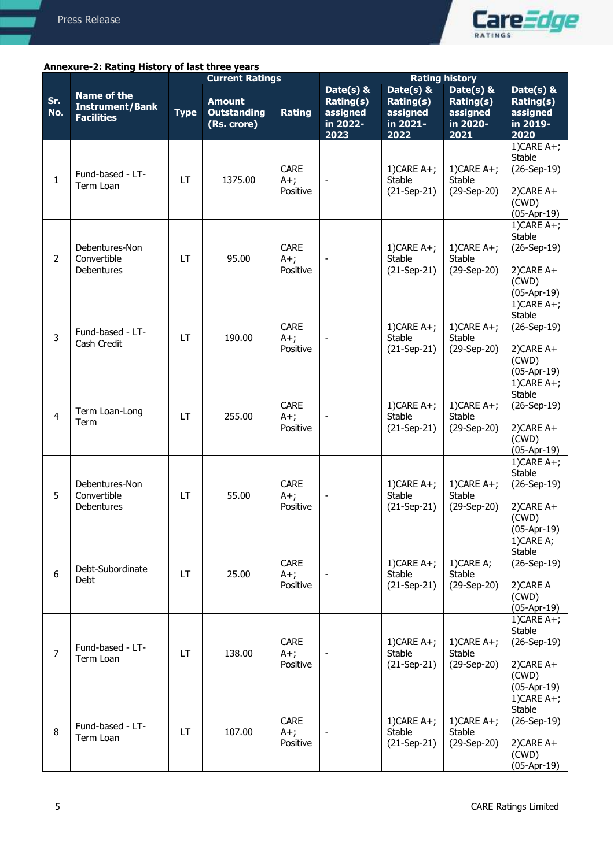

# **Annexure-2: Rating History of last three years**

|                |                                                                   | <b>Current Ratings</b> |                                                    |                                   | <b>Rating history</b>                                  |                                                        |                                                        |                                                                                  |
|----------------|-------------------------------------------------------------------|------------------------|----------------------------------------------------|-----------------------------------|--------------------------------------------------------|--------------------------------------------------------|--------------------------------------------------------|----------------------------------------------------------------------------------|
| Sr.<br>No.     | <b>Name of the</b><br><b>Instrument/Bank</b><br><b>Facilities</b> | <b>Type</b>            | <b>Amount</b><br><b>Outstanding</b><br>(Rs. crore) | <b>Rating</b>                     | Date(s) &<br>Rating(s)<br>assigned<br>in 2022-<br>2023 | Date(s) &<br>Rating(s)<br>assigned<br>in 2021-<br>2022 | Date(s) &<br>Rating(s)<br>assigned<br>in 2020-<br>2021 | Date $(s)$ &<br>Rating(s)<br>assigned<br>in 2019-<br>2020                        |
| $\mathbf{1}$   | Fund-based - LT-<br>Term Loan                                     | LT                     | 1375.00                                            | <b>CARE</b><br>$A+$ ;<br>Positive | $\overline{\phantom{a}}$                               | 1) CARE $A+$ ;<br><b>Stable</b><br>$(21-Sep-21)$       | 1) CARE $A+$ ;<br><b>Stable</b><br>(29-Sep-20)         | 1) CARE $A+$ ;<br>Stable<br>$(26-Sep-19)$<br>2)CARE A+<br>(CWD)<br>$(05-Apr-19)$ |
| $\overline{2}$ | Debentures-Non<br>Convertible<br>Debentures                       | LT                     | 95.00                                              | <b>CARE</b><br>$A+;$<br>Positive  |                                                        | 1) CARE $A+$ ;<br><b>Stable</b><br>$(21-Sep-21)$       | 1) CARE $A+$ ;<br>Stable<br>(29-Sep-20)                | 1) CARE $A+$ ;<br>Stable<br>$(26-Sep-19)$<br>2)CARE A+<br>(CWD)<br>$(05-Apr-19)$ |
| 3              | Fund-based - LT-<br>Cash Credit                                   | LT                     | 190.00                                             | <b>CARE</b><br>$A+$ ;<br>Positive |                                                        | 1) CARE $A+$ ;<br><b>Stable</b><br>$(21-Sep-21)$       | 1) CARE $A+$ ;<br>Stable<br>(29-Sep-20)                | $1)$ CARE A+;<br>Stable<br>$(26-Sep-19)$<br>2)CARE A+<br>(CWD)<br>$(05-Apr-19)$  |
| $\overline{4}$ | Term Loan-Long<br>Term                                            | LT                     | 255.00                                             | CARE<br>$A+$ ;<br>Positive        |                                                        | 1) CARE $A+$ ;<br>Stable<br>$(21-Sep-21)$              | 1) CARE $A+$ ;<br>Stable<br>(29-Sep-20)                | 1) CARE $A+$ ;<br>Stable<br>$(26-Sep-19)$<br>2)CARE A+<br>(CWD)<br>$(05-Apr-19)$ |
| 5              | Debentures-Non<br>Convertible<br><b>Debentures</b>                | LT                     | 55.00                                              | <b>CARE</b><br>$A+;$<br>Positive  | $\overline{\phantom{a}}$                               | $1)$ CARE A+;<br>Stable<br>$(21-Sep-21)$               | 1) CARE $A+$ ;<br>Stable<br>(29-Sep-20)                | 1) CARE $A+$ ;<br>Stable<br>$(26-Sep-19)$<br>2)CARE A+<br>(CWD)<br>$(05-Apr-19)$ |
| 6              | Debt-Subordinate<br>Debt                                          | LT                     | 25.00                                              | <b>CARE</b><br>$A+$ ;<br>Positive |                                                        | $1)$ CARE A+;<br><b>Stable</b><br>$(21-Sep-21)$        | 1)CARE A;<br>Stable<br>(29-Sep-20)                     | 1)CARE A;<br>Stable<br>$(26-Sep-19)$<br>2) CARE A<br>(CWD)<br>$(05-Apr-19)$      |
| $\overline{7}$ | Fund-based - LT-<br>Term Loan                                     | LT                     | 138.00                                             | <b>CARE</b><br>$A+$ ;<br>Positive |                                                        | 1) CARE $A+$ ;<br><b>Stable</b><br>$(21-Sep-21)$       | 1) CARE $A+$ ;<br>Stable<br>(29-Sep-20)                | 1) CARE $A+$ ;<br>Stable<br>$(26-Sep-19)$<br>2)CARE A+<br>(CWD)<br>$(05-Apr-19)$ |
| 8              | Fund-based - LT-<br>Term Loan                                     | LT                     | 107.00                                             | <b>CARE</b><br>$A+$ ;<br>Positive |                                                        | 1) CARE $A+$ ;<br>Stable<br>$(21-Sep-21)$              | $1)$ CARE A+;<br>Stable<br>(29-Sep-20)                 | 1) CARE $A+$ ;<br>Stable<br>$(26-Sep-19)$<br>2)CARE A+<br>(CWD)<br>$(05-Apr-19)$ |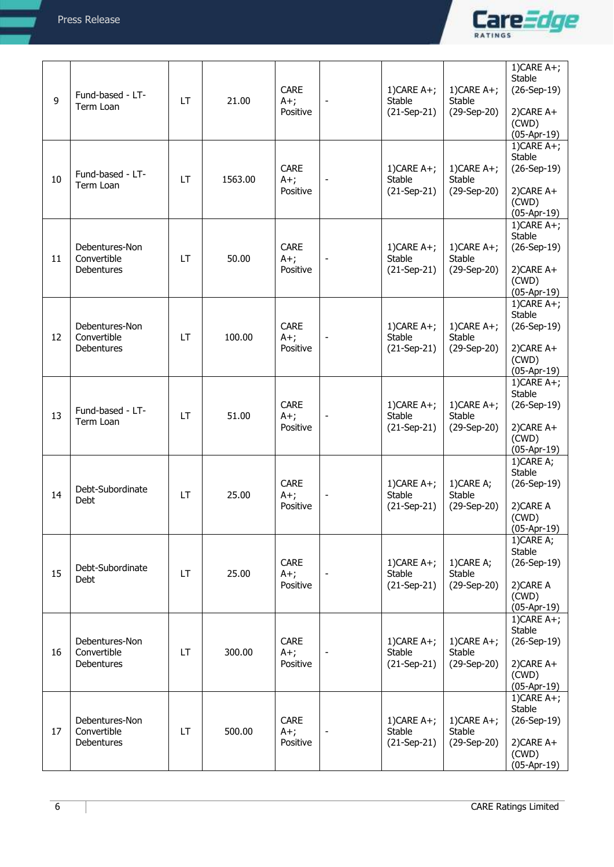

| 9  | Fund-based - LT-<br>Term Loan                      | LT | 21.00   | <b>CARE</b><br>$A+;$<br>Positive  | $\overline{\phantom{a}}$ | $1)$ CARE A+;<br>Stable<br>$(21-Sep-21)$         | 1) CARE $A+$ ;<br><b>Stable</b><br>(29-Sep-20) | 1) CARE $A+$ ;<br>Stable<br>$(26-Sep-19)$<br>2)CARE A+<br>(CWD)<br>$(05-Apr-19)$ |
|----|----------------------------------------------------|----|---------|-----------------------------------|--------------------------|--------------------------------------------------|------------------------------------------------|----------------------------------------------------------------------------------|
| 10 | Fund-based - LT-<br>Term Loan                      | LT | 1563.00 | <b>CARE</b><br>$A+$ ;<br>Positive |                          | 1) CARE $A+$ ;<br>Stable<br>$(21-Sep-21)$        | 1) CARE $A+$ ;<br><b>Stable</b><br>(29-Sep-20) | 1) CARE $A+$ ;<br>Stable<br>$(26-Sep-19)$<br>2)CARE A+<br>(CWD)<br>$(05-Apr-19)$ |
| 11 | Debentures-Non<br>Convertible<br>Debentures        | LT | 50.00   | <b>CARE</b><br>$A+;$<br>Positive  |                          | 1) CARE $A+$ ;<br>Stable<br>$(21-Sep-21)$        | 1) CARE $A+$ ;<br><b>Stable</b><br>(29-Sep-20) | 1) CARE $A+$ ;<br>Stable<br>$(26-Sep-19)$<br>2)CARE A+<br>(CWD)<br>$(05-Apr-19)$ |
| 12 | Debentures-Non<br>Convertible<br><b>Debentures</b> | LT | 100.00  | <b>CARE</b><br>$A+;$<br>Positive  |                          | 1) CARE $A+$ ;<br>Stable<br>$(21-Sep-21)$        | 1) CARE $A+$ ;<br><b>Stable</b><br>(29-Sep-20) | 1) CARE $A+$ ;<br>Stable<br>$(26-Sep-19)$<br>2)CARE A+<br>(CWD)<br>$(05-Apr-19)$ |
| 13 | Fund-based - LT-<br>Term Loan                      | LT | 51.00   | <b>CARE</b><br>$A+;$<br>Positive  | $\overline{\phantom{a}}$ | 1) CARE $A+$ ;<br>Stable<br>$(21-Sep-21)$        | 1) CARE $A+$ ;<br>Stable<br>(29-Sep-20)        | 1) CARE $A+$ ;<br>Stable<br>$(26-Sep-19)$<br>2)CARE A+<br>(CWD)<br>$(05-Apr-19)$ |
| 14 | Debt-Subordinate<br>Debt                           | LT | 25.00   | <b>CARE</b><br>$A+;$<br>Positive  |                          | $1)$ CARE A+;<br>Stable<br>$(21-Sep-21)$         | 1)CARE A;<br>Stable<br>(29-Sep-20)             | 1)CARE A;<br>Stable<br>$(26-Sep-19)$<br>2) CARE A<br>(CWD)<br>$(05-Apr-19)$      |
| 15 | Debt-Subordinate<br>Debt                           | LT | 25.00   | <b>CARE</b><br>$A+$ ;<br>Positive |                          | 1) CARE $A+$ ;<br><b>Stable</b><br>$(21-Sep-21)$ | 1)CARE A;<br><b>Stable</b><br>(29-Sep-20)      | 1)CARE A;<br>Stable<br>$(26-Sep-19)$<br>2) CARE A<br>(CWD)<br>$(05-Apr-19)$      |
| 16 | Debentures-Non<br>Convertible<br>Debentures        | LT | 300.00  | <b>CARE</b><br>$A+$ ;<br>Positive | $\overline{\phantom{a}}$ | 1) CARE $A+$ ;<br>Stable<br>$(21-Sep-21)$        | 1) CARE $A+$ ;<br><b>Stable</b><br>(29-Sep-20) | 1) CARE $A+$ ;<br>Stable<br>$(26-Sep-19)$<br>2)CARE A+<br>(CWD)<br>$(05-Apr-19)$ |
| 17 | Debentures-Non<br>Convertible<br>Debentures        | LT | 500.00  | CARE<br>$A+$ ;<br>Positive        | $\overline{\phantom{a}}$ | 1) CARE $A+$ ;<br>Stable<br>$(21-Sep-21)$        | 1) CARE $A+$ ;<br><b>Stable</b><br>(29-Sep-20) | 1) CARE $A+$ ;<br>Stable<br>$(26-Sep-19)$<br>2)CARE A+<br>(CWD)<br>$(05-Apr-19)$ |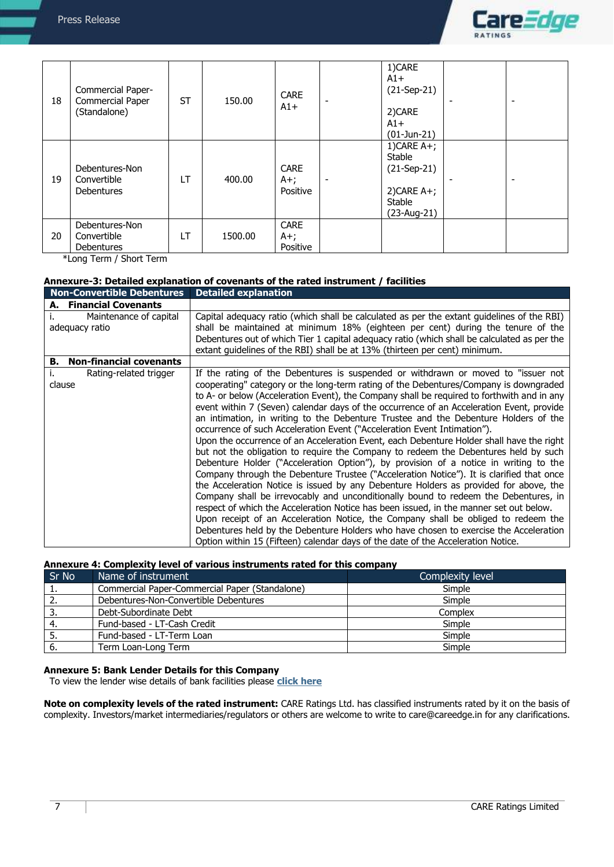

| 18 | Commercial Paper-<br>Commercial Paper<br>(Standalone) | <b>ST</b> | 150.00  | <b>CARE</b><br>$A1+$             | $\overline{\phantom{0}}$ | 1)CARE<br>$A1+$<br>$(21-Sep-21)$<br>2)CARE<br>$A1+$<br>$(01$ -Jun-21)               | $\overline{\phantom{0}}$ |
|----|-------------------------------------------------------|-----------|---------|----------------------------------|--------------------------|-------------------------------------------------------------------------------------|--------------------------|
| 19 | Debentures-Non<br>Convertible<br><b>Debentures</b>    | LT        | 400.00  | <b>CARE</b><br>$A+;$<br>Positive | $\overline{\phantom{a}}$ | 1) CARE $A+$ ;<br>Stable<br>$(21-Sep-21)$<br>$2)$ CARE A+;<br>Stable<br>(23-Aug-21) | $\overline{\phantom{0}}$ |
| 20 | Debentures-Non<br>Convertible<br><b>Debentures</b>    | LT        | 1500.00 | <b>CARE</b><br>$A+;$<br>Positive |                          |                                                                                     |                          |

\*Long Term / Short Term

# **Annexure-3: Detailed explanation of covenants of the rated instrument / facilities**

| <b>Non-Convertible Debentures</b>        | <b>Detailed explanation</b>                                                                                                                                                                                                                                                                                                                                                                                                                                                                                                                                                                                                                                                                                                                                                                                                                                                                                                                                                                                                                                                                                                                                                                                                                                                                                                                                                                                                                                 |
|------------------------------------------|-------------------------------------------------------------------------------------------------------------------------------------------------------------------------------------------------------------------------------------------------------------------------------------------------------------------------------------------------------------------------------------------------------------------------------------------------------------------------------------------------------------------------------------------------------------------------------------------------------------------------------------------------------------------------------------------------------------------------------------------------------------------------------------------------------------------------------------------------------------------------------------------------------------------------------------------------------------------------------------------------------------------------------------------------------------------------------------------------------------------------------------------------------------------------------------------------------------------------------------------------------------------------------------------------------------------------------------------------------------------------------------------------------------------------------------------------------------|
| A. Financial Covenants                   |                                                                                                                                                                                                                                                                                                                                                                                                                                                                                                                                                                                                                                                                                                                                                                                                                                                                                                                                                                                                                                                                                                                                                                                                                                                                                                                                                                                                                                                             |
| Maintenance of capital<br>adequacy ratio | Capital adequacy ratio (which shall be calculated as per the extant guidelines of the RBI)<br>shall be maintained at minimum 18% (eighteen per cent) during the tenure of the<br>Debentures out of which Tier 1 capital adequacy ratio (which shall be calculated as per the<br>extant guidelines of the RBI) shall be at 13% (thirteen per cent) minimum.                                                                                                                                                                                                                                                                                                                                                                                                                                                                                                                                                                                                                                                                                                                                                                                                                                                                                                                                                                                                                                                                                                  |
| <b>Non-financial covenants</b><br>в.     |                                                                                                                                                                                                                                                                                                                                                                                                                                                                                                                                                                                                                                                                                                                                                                                                                                                                                                                                                                                                                                                                                                                                                                                                                                                                                                                                                                                                                                                             |
| Rating-related trigger<br>clause         | If the rating of the Debentures is suspended or withdrawn or moved to "issuer not<br>cooperating" category or the long-term rating of the Debentures/Company is downgraded<br>to A- or below (Acceleration Event), the Company shall be required to forthwith and in any<br>event within 7 (Seven) calendar days of the occurrence of an Acceleration Event, provide<br>an intimation, in writing to the Debenture Trustee and the Debenture Holders of the<br>occurrence of such Acceleration Event ("Acceleration Event Intimation").<br>Upon the occurrence of an Acceleration Event, each Debenture Holder shall have the right<br>but not the obligation to require the Company to redeem the Debentures held by such<br>Debenture Holder ("Acceleration Option"), by provision of a notice in writing to the<br>Company through the Debenture Trustee ("Acceleration Notice"). It is clarified that once<br>the Acceleration Notice is issued by any Debenture Holders as provided for above, the<br>Company shall be irrevocably and unconditionally bound to redeem the Debentures, in<br>respect of which the Acceleration Notice has been issued, in the manner set out below.<br>Upon receipt of an Acceleration Notice, the Company shall be obliged to redeem the<br>Debentures held by the Debenture Holders who have chosen to exercise the Acceleration<br>Option within 15 (Fifteen) calendar days of the date of the Acceleration Notice. |

# **Annexure 4: Complexity level of various instruments rated for this company**

| Sr No | Name of instrument                             | Complexity level |
|-------|------------------------------------------------|------------------|
| π.    | Commercial Paper-Commercial Paper (Standalone) | Simple           |
| Ζ.    | Debentures-Non-Convertible Debentures          | Simple           |
| э.    | Debt-Subordinate Debt                          | Complex          |
|       | Fund-based - LT-Cash Credit                    | Simple           |
| J.    | Fund-based - LT-Term Loan                      | Simple           |
| ס.    | Term Loan-Long Term                            | Simple           |

# **Annexure 5: Bank Lender Details for this Company**

To view the lender wise details of bank facilities please **[click here](https://www.careratings.com/Bankdetails.aspx?Id=EJavsB1k4EPB4P6PC8dElA==)**

**Note on complexity levels of the rated instrument:** CARE Ratings Ltd. has classified instruments rated by it on the basis of complexity. Investors/market intermediaries/regulators or others are welcome to write to care@careedge.in for any clarifications.